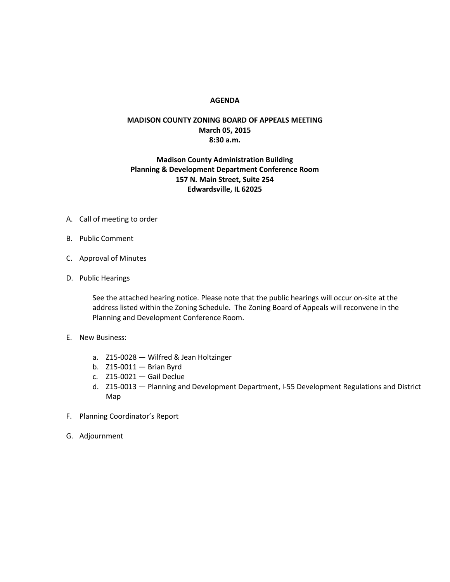#### **AGENDA**

## **MADISON COUNTY ZONING BOARD OF APPEALS MEETING March 05, 2015 8:30 a.m.**

### **Madison County Administration Building Planning & Development Department Conference Room 157 N. Main Street, Suite 254 Edwardsville, IL 62025**

- A. Call of meeting to order
- B. Public Comment
- C. Approval of Minutes
- D. Public Hearings

See the attached hearing notice. Please note that the public hearings will occur on-site at the address listed within the Zoning Schedule. The Zoning Board of Appeals will reconvene in the Planning and Development Conference Room.

- E. New Business:
	- a. Z15-0028 Wilfred & Jean Holtzinger
	- b. Z15-0011 Brian Byrd
	- c. Z15-0021 Gail Declue
	- d. Z15-0013 Planning and Development Department, I-55 Development Regulations and District Map
- F. Planning Coordinator's Report
- G. Adjournment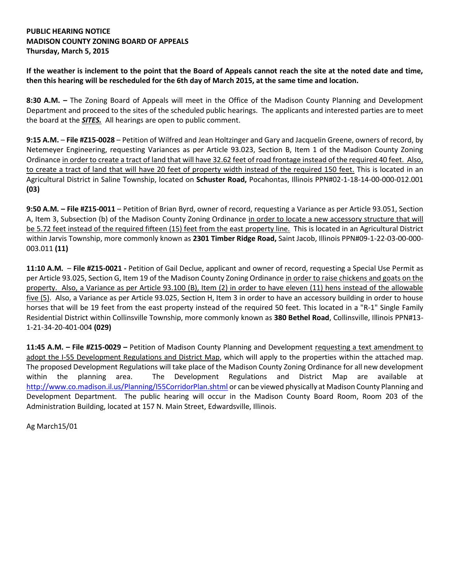## **PUBLIC HEARING NOTICE MADISON COUNTY ZONING BOARD OF APPEALS Thursday, March 5, 2015**

**If the weather is inclement to the point that the Board of Appeals cannot reach the site at the noted date and time, then this hearing will be rescheduled for the 6th day of March 2015, at the same time and location.**

**8:30 A.M. –** The Zoning Board of Appeals will meet in the Office of the Madison County Planning and Development Department and proceed to the sites of the scheduled public hearings. The applicants and interested parties are to meet the board at the *SITES.* All hearings are open to public comment.

**9:15 A.M.** – **File #Z15-0028** – Petition of Wilfred and Jean Holtzinger and Gary and Jacquelin Greene, owners of record, by Netemeyer Engineering, requesting Variances as per Article 93.023, Section B, Item 1 of the Madison County Zoning Ordinance in order to create a tract of land that will have 32.62 feet of road frontage instead of the required 40 feet. Also, to create a tract of land that will have 20 feet of property width instead of the required 150 feet. This is located in an Agricultural District in Saline Township, located on **Schuster Road,** Pocahontas, Illinois PPN#02-1-18-14-00-000-012.001 **(03)**

**9:50 A.M. – File #Z15-0011** – Petition of Brian Byrd, owner of record, requesting a Variance as per Article 93.051, Section A, Item 3, Subsection (b) of the Madison County Zoning Ordinance in order to locate a new accessory structure that will be 5.72 feet instead of the required fifteen (15) feet from the east property line. This is located in an Agricultural District within Jarvis Township, more commonly known as **2301 Timber Ridge Road,** Saint Jacob, Illinois PPN#09-1-22-03-00-000- 003.011 **(11)**

**11:10 A.M.** – **File #Z15-0021 -** Petition of Gail Declue, applicant and owner of record, requesting a Special Use Permit as per Article 93.025, Section G, Item 19 of the Madison County Zoning Ordinance in order to raise chickens and goats on the property. Also, a Variance as per Article 93.100 (B), Item (2) in order to have eleven (11) hens instead of the allowable five (5). Also, a Variance as per Article 93.025, Section H, Item 3 in order to have an accessory building in order to house horses that will be 19 feet from the east property instead of the required 50 feet. This located in a "R-1" Single Family Residential District within Collinsville Township, more commonly known as **380 Bethel Road**, Collinsville, Illinois PPN#13- 1-21-34-20-401-004 **(029)**

**11:45 A.M. – File #Z15-0029 –** Petition of Madison County Planning and Development requesting a text amendment to adopt the I-55 Development Regulations and District Map, which will apply to the properties within the attached map. The proposed Development Regulations will take place of the Madison County Zoning Ordinance for all new development within the planning area. The Development Regulations and District Map are available at <http://www.co.madison.il.us/Planning/I55CorridorPlan.shtml> or can be viewed physically at Madison County Planning and Development Department. The public hearing will occur in the Madison County Board Room, Room 203 of the Administration Building, located at 157 N. Main Street, Edwardsville, Illinois.

Ag March15/01